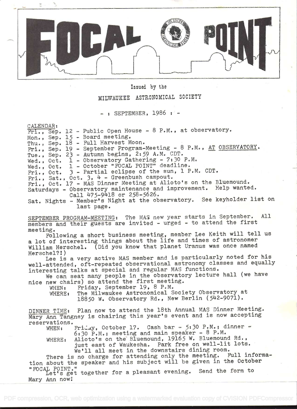

## Issued by the

# MILWAUKEE ASTRONOMICAL SOCIETY

 $:$  SEPTEMBER, 1986  $:$  -

CALENDAR i

Fri., Sep. 12 - Public Open House - 8 P.M., at observatory. Mon., Sep. 15 - Board meeting. Thu., Sep. 18 - Full Harvest Moon. Fri., Sep. 19 - September Program-Meeting - 8 P.M., AT OBSERVATORY. Tue., Sep. 23 - Autumn begins, 2:59 A.M. CDT. Wed., Oct. 1 - Observatory Gathering - 7:30 P.M. Wed., Oct. 1 - October "FOCAL POINT" deadline. Fri., Oct. **Fri., Sat., Oct. 3**  $Fri.,$  Oct.  $17 - MAS$ Saturdays - Observatory maintenance and improvement. Help wanted. <sup>3</sup>- Partial eclipse of the sun, i P.M. CDT. , Oct.  $3$ ,  $4$  - Greenbush campout. 17 - MAS Dinner Meeting at Alioto's on the Bluemound. Call 475-9418 or 258-5626. Sat. Nights - Member's Night at the observatory. See keyholder list on last page. SEPTEMBER PROGRAM-MEETING: The MAS new year starts in September. All members and their guests are invited - urged - to attend the first meeting. Following a short business meeting, member Lee Keith will tell us <sup>a</sup>lot of interesting things about the life and times of astronomer William Herschel. (Did you know that planet Uranus was once named Herschel?!) Lee is a very active MAS member and is particularly noted for his well-attended, oft-repeated observational astronomy classes and equally interesting talks at special and regular MAS functions. We can seat many people in the observatory lecture hall (we have nice new chairs) so attend the first meeting.<br>WHEN: Friday, September 19, 8 P.M. Friday, September 19, 8 P.M. WHERE: The Milwaukee Astronomical Society Observatory at 18850 W. Observatory Rd., New Berlin  $(542-9071)$ . DINNER TIME: Plan now to attend the 18th Annual MAS Dinner Meeting. Mary Ann Tangney is chairing this year's event and is now accepting reservations.<br>WHEN: Friday, October 17. Cash bar - 5:30 P.M.; dinner -WHEN: Friday, October 17. Cash bar - 5:30 P.M.; dinner - 6:30 P.M.; meeting and main speaker - 8 P.M. WHERE: Alioto's on the Bluemound, 19165 W. Bluemound Rd., just east of Waukesha. Park free on well-lit lots. We'll all meet in the downstairs dining room.<br>no charge for attending only the meeting. Full informa-There is no charge for attending only the meeting. tion about the speaker and his subject will be given in the October<br>"FOCAL POINT." "FOCAL POINT." Let's get together for a pleasant evening. Send the form to

Mary Ann now!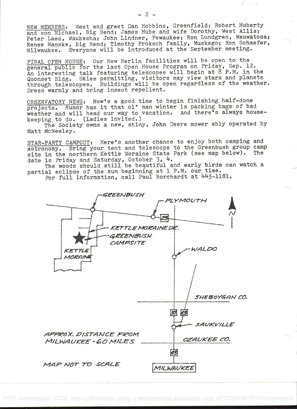NEW MEMBERS: Meet and greet Dan Hobbins, Greenfield; Robert Huberty and son Michael, Big Bend; James Hube and wife Dorothy, West Allis; Peter Laes, Waukesha; John Lindner, Pewaukee; Ron Lundgren, Wauwatosa; Renee Manske, Big Bend; Timothy Proksch family, Muskego; Ron Schaefer, Milwaukee. Everyone will be introduced at the September meeting.

FINAL OPEN HOUSE: Our New Berlin facilities will be open to the general public for the last Open House Program on Friday, Sep. 12. An interesting talk featuring telescopes will begin at 8 P.M. in the Quonset Bldg. Skies permitting, visitors may view stars and planets through telescopes. Buildings will be open regardless of the weather. Dress warmly and bring insect repellent.

OBSERVATORY NEWS: Now's a good time to begin finishing half-done projects. Rumor has it that ol' man winter is packing bags of bad weather and will head our way to vacation. And there's always housekeeping to do. (Ladies invited.)

The Society owns a new, shiny, John Deere mower ably operated by Matt McNeeley.

STAR-PARTY CAMPOUT: Here's another chance to enjoy both camping and astronomy. Bring your tent and telescope to the Greenbush group camp site in the northern Kettle Moraine State Park (see map below). The date is Friday and Saturday, October 3, 4.

The woods should still be beautiful and early birds can watch a partial eclipse of the sun beginning at 1 P.M. our time.

For full information, call Paul Borchardt at 445-1181.



 $\lambda$   $\rightarrow$  3.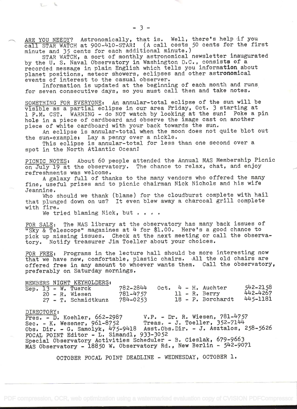ARE YOU NEEDY? Astronomically, that is. Well, there's help if you call STAR WATCH at 900-410-STAR! (A call costs 50 cents for the first minute and 35 cents for each additional minute.)

STAR WATCH, a sort of monthly astronomical newsletter inaugurated by the U. S. Naval Observatory in Washington D.C., consists of a recorded message in plain English which tells you information about planet positions, meteor showers, eclipses and other astronomical events of interest to the casual observer.

Information is updated at the beginning of each month and runs for seven consecutive days, so you must call then and take notes.

SOMETHING FOR EVERYONE: An annular-total eclipse of the sun will be visible as a partial eclipse in our area Friday, Oct. 3 starting at <sup>i</sup>PM. CST. WARNING - do NOT watch by looking at the sun! Poke a pin hole in a piece of cardboard and observe the image cast on another piece of white cardboard with your back towards the sun.

An eclipse is annular-total when the moon does not quite blot out the sun-example: Lay a penny over a nickle.

This eclipse is annular-total for less than one second over a spot in the North Atlantic Ocean

PICNIC NOTES: About 60 people attended the Annual MAS Membership Picnic on July 19 at the observatory. The chance to relax, chat, and enjoy refreshments was welcome.

A galaxy full of thanks to the many vendors who offered the many fine, useful prizes and to picnic chairman Nick Nichols and his wife Jeannine. useiul prizes and to<br>ine.

Who should we thank (blame) for the cloudburst complete with hail that plunged down on us? It even blew away a charcoal grill complete with fire..

We tried blaming Nick, but  $\cdots$ 

FOR SALE: The MAS library at the observatory has many back issues of "Sky & Telescope" magazines at  $4$  for \$1.00. Here's a good chance to pick up missing issues. Check at the next meeting or call the observatory. Notify treasurer Jim Toeller about your choices.

FOR FREE: Programs in the lecture hall should be more interesting now that we have new, comfortable, plastic chairs. All the old chairs are offered free in any amount to whoever wants them. Call the observatory, preferably on Saturday mornings.

|  | MEMBERS NIGHT KEYHOLDERS: |          |  |  |                       |              |
|--|---------------------------|----------|--|--|-----------------------|--------------|
|  | Sep. $13 - W$ . Tuerck    | 782-2844 |  |  | $Oct. 4 - H.$ Auchter | $542 - 2158$ |
|  | $20 - R$ . Wiesen         | 781-4757 |  |  | $11 - R.$ Berry       | 442-4267     |
|  | 27 - T. Schmidtkunz       | 784-0253 |  |  | $18 - P. Borchardt$   | 445-1181     |

### DIRECTORY s

Pres. - D. Koehler, 662-2987 V.P. - Dr. R. Wiesen, 781-4757  $\text{Sec. - K. Wesener, } 961-8752$  Treas. - J. Toeller, 352-7144 Obs. Dir. - G. Samolyk, 475-9l8 Asst.Obs.Dir. - J. Asztalos, 258-5626 FOCAL POINT Editor - L. Simandl, 933-3052 Special Observatory Activities Scheduler - B. Cieslak, 679-9663 MAS Observatory - 18850 W. Observatory Rd., New Berlin - 542-9071

OCTOBER FOCAL POINT DEADLINE - WEDNESDAY, OCTOBER 1.